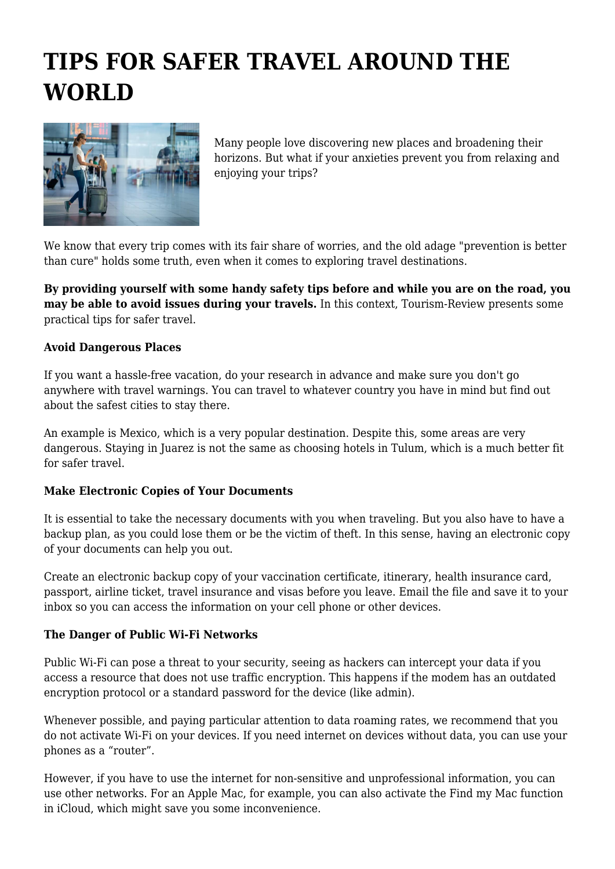# **TIPS FOR SAFER TRAVEL AROUND THE WORLD**



Many people love discovering new places and broadening their horizons. But what if your anxieties prevent you from relaxing and enjoying your trips?

We know that every trip comes with its fair share of worries, and the old adage "prevention is better than cure" holds some truth, even when it comes to exploring travel destinations.

**By providing yourself with some handy safety tips before and while you are on the road, you may be able to avoid issues during your travels.** In this context, Tourism-Review presents some practical tips for safer travel.

# **Avoid Dangerous Places**

If you want a hassle-free vacation, do your research in advance and make sure you don't go anywhere with travel warnings. You can travel to whatever country you have in mind but find out about the safest cities to stay there.

An example is Mexico, which is a very popular destination. Despite this, some areas are very dangerous. Staying in Juarez is not the same as choosing hotels in Tulum, which is a much better fit for safer travel.

### **Make Electronic Copies of Your Documents**

It is essential to take the necessary documents with you when traveling. But you also have to have a backup plan, as you could lose them or be the victim of theft. In this sense, having an electronic copy of your documents can help you out.

Create an electronic backup copy of your vaccination certificate, itinerary, health insurance card, passport, airline ticket, travel insurance and visas before you leave. Email the file and save it to your inbox so you can access the information on your cell phone or other devices.

### **The Danger of Public Wi-Fi Networks**

Public Wi-Fi can pose a threat to your security, seeing as hackers can intercept your data if you access a resource that does not use traffic encryption. This happens if the modem has an outdated encryption protocol or a standard password for the device (like admin).

Whenever possible, and paying particular attention to data roaming rates, we recommend that you do not activate Wi-Fi on your devices. If you need internet on devices without data, you can use your phones as a "router".

However, if you have to use the internet for non-sensitive and unprofessional information, you can use other networks. For an Apple Mac, for example, you can also activate the Find my Mac function in iCloud, which might save you some inconvenience.